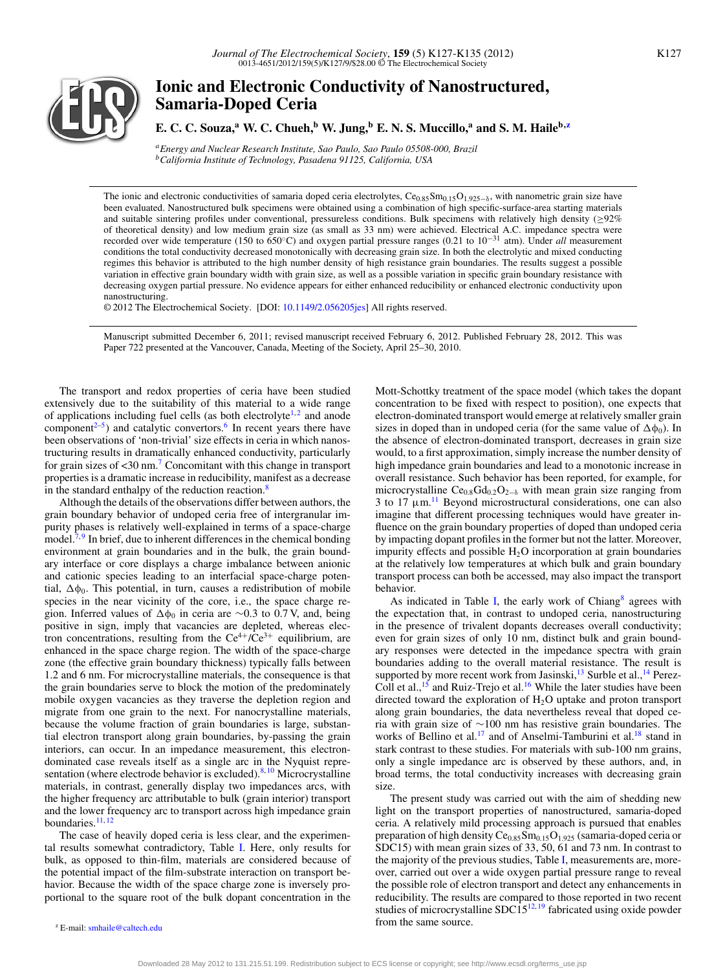

# **Ionic and Electronic Conductivity of Nanostructured, Samaria-Doped Ceria**

**E. C. C. Souza,**<sup>a</sup> **W. C. Chueh,**<sup>b</sup> **W. Jung,**<sup>b</sup> **E. N. S. Muccillo,**<sup>a</sup> and **S. M. Haile**<sup>b, $z$ </sup>

*aEnergy and Nuclear Research Institute, Sao Paulo, Sao Paulo 05508-000, Brazil bCalifornia Institute of Technology, Pasadena 91125, California, USA*

The ionic and electronic conductivities of samaria doped ceria electrolytes, Ce $_{0.85}$ Sm $_{0.15}$ O<sub>1.925</sub>–<sub>δ</sub>, with nanometric grain size have been evaluated. Nanostructured bulk specimens were obtained using a combination of high specific-surface-area starting materials and suitable sintering profiles under conventional, pressureless conditions. Bulk specimens with relatively high density (≥92% of theoretical density) and low medium grain size (as small as 33 nm) were achieved. Electrical A.C. impedance spectra were recorded over wide temperature (150 to 650◦C) and oxygen partial pressure ranges (0.21 to 10−<sup>31</sup> atm). Under *all* measurement conditions the total conductivity decreased monotonically with decreasing grain size. In both the electrolytic and mixed conducting regimes this behavior is attributed to the high number density of high resistance grain boundaries. The results suggest a possible variation in effective grain boundary width with grain size, as well as a possible variation in specific grain boundary resistance with decreasing oxygen partial pressure. No evidence appears for either enhanced reducibility or enhanced electronic conductivity upon nanostructuring.

© 2012 The Electrochemical Society. [DOI: [10.1149/2.056205jes\]](http://dx.doi.org/10.1149/2.056205jes) All rights reserved.

Manuscript submitted December 6, 2011; revised manuscript received February 6, 2012. Published February 28, 2012. This was Paper 722 presented at the Vancouver, Canada, Meeting of the Society, April 25–30, 2010.

The transport and redox properties of ceria have been studied extensively due to the suitability of this material to a wide range of applications including fuel cells (as both electrolyte<sup>1,[2](#page-8-1)</sup> and anode component<sup> $2-5$ </sup>) and catalytic convertors.<sup>6</sup> In recent years there have been observations of 'non-trivial' size effects in ceria in which nanostructuring results in dramatically enhanced conductivity, particularly for grain sizes of <30 nm[.7](#page-8-4) Concomitant with this change in transport properties is a dramatic increase in reducibility, manifest as a decrease in the standard enthalpy of the reduction reaction[.8](#page-8-5)

Although the details of the observations differ between authors, the grain boundary behavior of undoped ceria free of intergranular impurity phases is relatively well-explained in terms of a space-charge model.<sup>7,[9](#page-8-6)</sup> In brief, due to inherent differences in the chemical bonding environment at grain boundaries and in the bulk, the grain boundary interface or core displays a charge imbalance between anionic and cationic species leading to an interfacial space-charge potential,  $\Delta\phi_0$ . This potential, in turn, causes a redistribution of mobile species in the near vicinity of the core, i.e., the space charge region. Inferred values of  $\Delta\phi_0$  in ceria are ~0.3 to 0.7 V, and, being positive in sign, imply that vacancies are depleted, whereas electron concentrations, resulting from the  $Ce^{4+}/Ce^{3+}$  equilibrium, are enhanced in the space charge region. The width of the space-charge zone (the effective grain boundary thickness) typically falls between 1.2 and 6 nm. For microcrystalline materials, the consequence is that the grain boundaries serve to block the motion of the predominately mobile oxygen vacancies as they traverse the depletion region and migrate from one grain to the next. For nanocrystalline materials, because the volume fraction of grain boundaries is large, substantial electron transport along grain boundaries, by-passing the grain interiors, can occur. In an impedance measurement, this electrondominated case reveals itself as a single arc in the Nyquist repre-sentation (where electrode behavior is excluded).<sup>8, [10](#page-8-7)</sup> Microcrystalline materials, in contrast, generally display two impedances arcs, with the higher frequency arc attributable to bulk (grain interior) transport and the lower frequency arc to transport across high impedance grain boundaries. $11, 12$  $11, 12$ 

The case of heavily doped ceria is less clear, and the experimental results somewhat contradictory, Table [I.](#page-1-0) Here, only results for bulk, as opposed to thin-film, materials are considered because of the potential impact of the film-substrate interaction on transport behavior. Because the width of the space charge zone is inversely proportional to the square root of the bulk dopant concentration in the

<span id="page-0-0"></span><sup>z</sup> E-mail: [smhaile@caltech.edu](mailto: smhaile@caltech.edu)

Mott-Schottky treatment of the space model (which takes the dopant concentration to be fixed with respect to position), one expects that electron-dominated transport would emerge at relatively smaller grain sizes in doped than in undoped ceria (for the same value of  $\Delta\phi_0$ ). In the absence of electron-dominated transport, decreases in grain size would, to a first approximation, simply increase the number density of high impedance grain boundaries and lead to a monotonic increase in overall resistance. Such behavior has been reported, for example, for microcrystalline  $Ce<sub>0.8</sub>Gd<sub>0.2</sub>O<sub>2−δ</sub>$  with mean grain size ranging from 3 to  $17 \mu m$ .<sup>11</sup> Beyond microstructural considerations, one can also imagine that different processing techniques would have greater influence on the grain boundary properties of doped than undoped ceria by impacting dopant profiles in the former but not the latter. Moreover, impurity effects and possible  $H_2O$  incorporation at grain boundaries at the relatively low temperatures at which bulk and grain boundary transport process can both be accessed, may also impact the transport behavior.

As indicated in Table [I,](#page-1-0) the early work of Chiang $\delta$  agrees with the expectation that, in contrast to undoped ceria, nanostructuring in the presence of trivalent dopants decreases overall conductivity; even for grain sizes of only 10 nm, distinct bulk and grain boundary responses were detected in the impedance spectra with grain boundaries adding to the overall material resistance. The result is supported by more recent work from Jasinski, $^{13}$  Surble et al., <sup>[14](#page-8-11)</sup> Perez-Coll et al.,<sup>[15](#page-8-12)</sup> and Ruiz-Trejo et al.<sup>16</sup> While the later studies have been directed toward the exploration of  $H_2O$  uptake and proton transport along grain boundaries, the data nevertheless reveal that doped ceria with grain size of ∼100 nm has resistive grain boundaries. The works of Bellino et al.<sup>17</sup> and of Anselmi-Tamburini et al.<sup>18</sup> stand in stark contrast to these studies. For materials with sub-100 nm grains, only a single impedance arc is observed by these authors, and, in broad terms, the total conductivity increases with decreasing grain size.

The present study was carried out with the aim of shedding new light on the transport properties of nanostructured, samaria-doped ceria. A relatively mild processing approach is pursued that enables preparation of high density  $Ce<sub>0.85</sub>Sm<sub>0.15</sub>O<sub>1.925</sub>$  (samaria-doped ceria or SDC15) with mean grain sizes of 33, 50, 61 and 73 nm. In contrast to the majority of the previous studies, Table [I,](#page-1-0) measurements are, moreover, carried out over a wide oxygen partial pressure range to reveal the possible role of electron transport and detect any enhancements in reducibility. The results are compared to those reported in two recent studies of microcrystalline SDC15 $^{12,19}$  $^{12,19}$  $^{12,19}$  fabricated using oxide powder from the same source.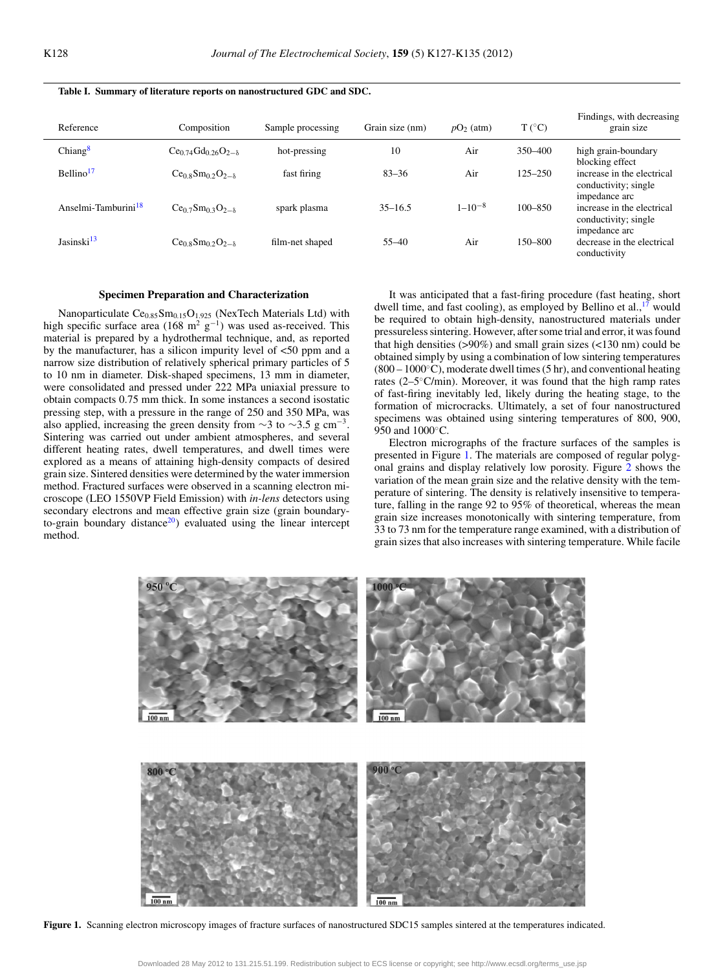| Reference                       | Composition                    | Sample processing | Grain size (nm) | $pO2$ (atm)   | $T(^{\circ}C)$ | Findings, with decreasing<br>grain size                             |
|---------------------------------|--------------------------------|-------------------|-----------------|---------------|----------------|---------------------------------------------------------------------|
| Chiang <sup>8</sup>             | $Ce0.74Gd0.26O2-8$             | hot-pressing      | 10              | Air           | 350-400        | high grain-boundary<br>blocking effect                              |
| Bellino <sup>17</sup>           | $Ce0.8Sm0.2O2-8$               | fast firing       | $83 - 36$       | Air           | $125 - 250$    | increase in the electrical<br>conductivity; single<br>impedance arc |
| Anselmi-Tamburini <sup>18</sup> | $Ce_{0.7}Sm_{0.3}O_{2-\delta}$ | spark plasma      | $35 - 16.5$     | $1 - 10^{-8}$ | 100-850        | increase in the electrical<br>conductivity; single<br>impedance arc |
| Jasinski <sup>13</sup>          | $Ce0.8Sm0.2O2-8$               | film-net shaped   | $55 - 40$       | Air           | $150 - 800$    | decrease in the electrical<br>conductivity                          |

## <span id="page-1-0"></span>**Table I. Summary of literature reports on nanostructured GDC and SDC.**

## **Specimen Preparation and Characterization**

Nanoparticulate  $Ce<sub>0.85</sub>Sm<sub>0.15</sub>O<sub>1.925</sub>$  (NexTech Materials Ltd) with high specific surface area (168 m<sup>2</sup> g<sup>-1</sup>) was used as-received. This material is prepared by a hydrothermal technique, and, as reported by the manufacturer, has a silicon impurity level of <50 ppm and a narrow size distribution of relatively spherical primary particles of 5 to 10 nm in diameter. Disk-shaped specimens, 13 mm in diameter, were consolidated and pressed under 222 MPa uniaxial pressure to obtain compacts 0.75 mm thick. In some instances a second isostatic pressing step, with a pressure in the range of 250 and 350 MPa, was also applied, increasing the green density from  $\sim$ 3 to  $\sim$ 3.5 g cm<sup>-3</sup>. Sintering was carried out under ambient atmospheres, and several different heating rates, dwell temperatures, and dwell times were explored as a means of attaining high-density compacts of desired grain size. Sintered densities were determined by the water immersion method. Fractured surfaces were observed in a scanning electron microscope (LEO 1550VP Field Emission) with *in-lens* detectors using secondary electrons and mean effective grain size (grain boundaryto-grain boundary distance<sup>20</sup>) evaluated using the linear intercept method.

It was anticipated that a fast-firing procedure (fast heating, short dwell time, and fast cooling), as employed by Bellino et al.,  $17$  would be required to obtain high-density, nanostructured materials under pressureless sintering. However, after some trial and error, it was found that high densities  $(>90\%)$  and small grain sizes  $(<130 \text{ nm})$  could be obtained simply by using a combination of low sintering temperatures (800 – 1000◦C), moderate dwell times (5 hr), and conventional heating rates  $(2-5°C/min)$ . Moreover, it was found that the high ramp rates of fast-firing inevitably led, likely during the heating stage, to the formation of microcracks. Ultimately, a set of four nanostructured specimens was obtained using sintering temperatures of 800, 900, 950 and 1000°C.

Electron micrographs of the fracture surfaces of the samples is presented in Figure [1.](#page-1-1) The materials are composed of regular polygonal grains and display relatively low porosity. Figure [2](#page-2-0) shows the variation of the mean grain size and the relative density with the temperature of sintering. The density is relatively insensitive to temperature, falling in the range 92 to 95% of theoretical, whereas the mean grain size increases monotonically with sintering temperature, from 33 to 73 nm for the temperature range examined, with a distribution of grain sizes that also increases with sintering temperature. While facile

<span id="page-1-1"></span>

**Figure 1.** Scanning electron microscopy images of fracture surfaces of nanostructured SDC15 samples sintered at the temperatures indicated.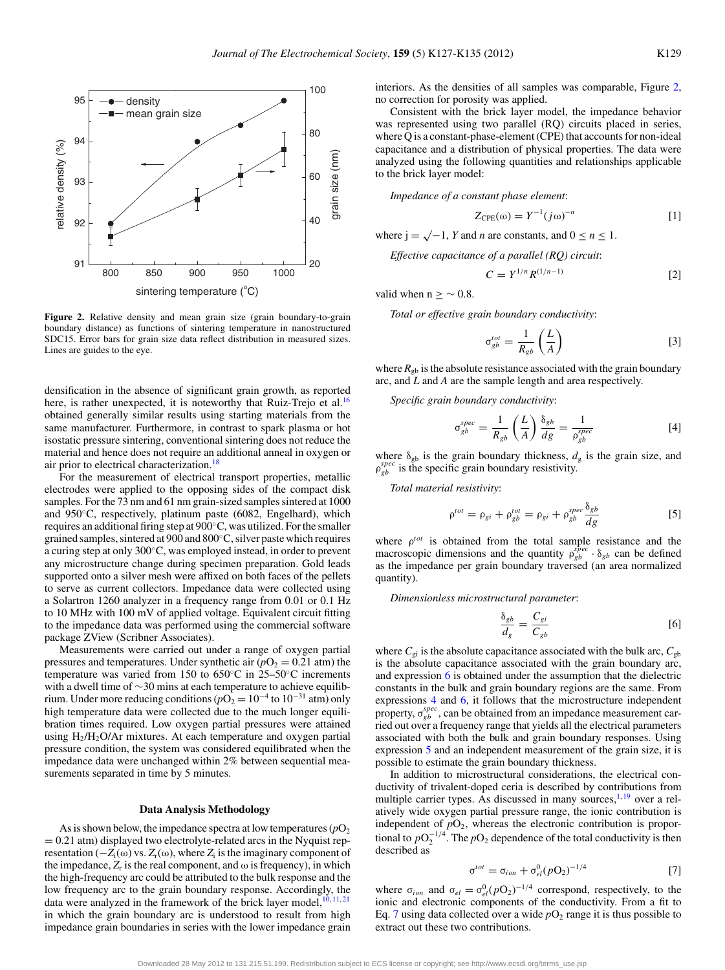<span id="page-2-0"></span>

**Figure 2.** Relative density and mean grain size (grain boundary-to-grain boundary distance) as functions of sintering temperature in nanostructured SDC15. Error bars for grain size data reflect distribution in measured sizes. Lines are guides to the eye.

densification in the absence of significant grain growth, as reported here, is rather unexpected, it is noteworthy that Ruiz-Trejo et al.<sup>16</sup> obtained generally similar results using starting materials from the same manufacturer. Furthermore, in contrast to spark plasma or hot isostatic pressure sintering, conventional sintering does not reduce the material and hence does not require an additional anneal in oxygen or air prior to electrical characterization.<sup>18</sup>

For the measurement of electrical transport properties, metallic electrodes were applied to the opposing sides of the compact disk samples. For the 73 nm and 61 nm grain-sized samples sintered at 1000 and 950◦C, respectively, platinum paste (6082, Engelhard), which requires an additional firing step at 900◦C, was utilized. For the smaller grained samples, sintered at 900 and 800◦C, silver paste which requires a curing step at only 300◦C, was employed instead, in order to prevent any microstructure change during specimen preparation. Gold leads supported onto a silver mesh were affixed on both faces of the pellets to serve as current collectors. Impedance data were collected using a Solartron 1260 analyzer in a frequency range from 0.01 or 0.1 Hz to 10 MHz with 100 mV of applied voltage. Equivalent circuit fitting to the impedance data was performed using the commercial software package ZView (Scribner Associates).

Measurements were carried out under a range of oxygen partial pressures and temperatures. Under synthetic air  $(pO<sub>2</sub> = 0.21$  atm) the temperature was varied from 150 to 650◦C in 25–50◦C increments with a dwell time of ∼30 mins at each temperature to achieve equilibrium. Under more reducing conditions ( $pO_2 = 10^{-4}$  to  $10^{-31}$  atm) only high temperature data were collected due to the much longer equilibration times required. Low oxygen partial pressures were attained using  $H_2/H_2O/Ar$  mixtures. At each temperature and oxygen partial pressure condition, the system was considered equilibrated when the impedance data were unchanged within 2% between sequential measurements separated in time by 5 minutes.

### **Data Analysis Methodology**

As is shown below, the impedance spectra at low temperatures  $(pO<sub>2</sub>)$  $= 0.21$  atm) displayed two electrolyte-related arcs in the Nyquist representation ( $-Z_i(\omega)$  vs.  $Z_r(\omega)$ , where  $Z_i$  is the imaginary component of the impedance,  $Z_r$  is the real component, and  $\omega$  is frequency), in which the high-frequency arc could be attributed to the bulk response and the low frequency arc to the grain boundary response. Accordingly, the data were analyzed in the framework of the brick layer model, $10, 11, 21$  $10, 11, 21$  $10, 11, 21$  $10, 11, 21$ in which the grain boundary arc is understood to result from high impedance grain boundaries in series with the lower impedance grain interiors. As the densities of all samples was comparable, Figure [2,](#page-2-0) no correction for porosity was applied.

Consistent with the brick layer model, the impedance behavior was represented using two parallel (RQ) circuits placed in series, where Q is a constant-phase-element (CPE) that accounts for non-ideal capacitance and a distribution of physical properties. The data were analyzed using the following quantities and relationships applicable to the brick layer model:

*Impedance of a constant phase element*:

$$
Z_{\rm CPE}(\omega) = Y^{-1}(j\omega)^{-n} \tag{1}
$$

where  $j = \sqrt{-1}$ , *Y* and *n* are constants, and  $0 \le n \le 1$ .

*Effective capacitance of a parallel (RQ) circuit*:

$$
C = Y^{1/n} R^{(1/n-1)} \tag{2}
$$

valid when  $n > \sim 0.8$ .

*Total or effective grain boundary conductivity*:

$$
\sigma_{gb}^{tot} = \frac{1}{R_{gb}} \left(\frac{L}{A}\right)
$$
 [3]

where  $R_{gb}$  is the absolute resistance associated with the grain boundary arc, and *L* and *A* are the sample length and area respectively.

*Specific grain boundary conductivity*:

<span id="page-2-2"></span>
$$
\sigma_{gb}^{spec} = \frac{1}{R_{gb}} \left(\frac{L}{A}\right) \frac{\delta_{gb}}{dg} = \frac{1}{\rho_{gb}^{spec}} \tag{4}
$$

where  $\delta_{gb}$  is the grain boundary thickness,  $d_g$  is the grain size, and  $\rho_{gb}^{spec}$  is the specific grain boundary resistivity.

*Total material resistivity*:

<span id="page-2-3"></span>
$$
\rho^{tot} = \rho_{gi} + \rho_{gb}^{tot} = \rho_{gi} + \rho_{gb}^{spec} \frac{\delta_{gb}}{dg}
$$
 [5]

where ρ*tot* is obtained from the total sample resistance and the macroscopic dimensions and the quantity  $\rho_{gb}^{spec} \cdot \delta_{gb}$  can be defined as the impedance per grain boundary traversed (an area normalized quantity).

*Dimensionless microstructural parameter*:

<span id="page-2-1"></span>
$$
\frac{\delta_{gb}}{d_g} = \frac{C_{gi}}{C_{gb}} \tag{6}
$$

where  $C_{gi}$  is the absolute capacitance associated with the bulk arc,  $C_{gb}$ is the absolute capacitance associated with the grain boundary arc, and expression [6](#page-2-1) is obtained under the assumption that the dielectric constants in the bulk and grain boundary regions are the same. From expressions [4](#page-2-2) and [6,](#page-2-1) it follows that the microstructure independent property,  $\sigma_{gb}^{spec}$ , can be obtained from an impedance measurement carried out over a frequency range that yields all the electrical parameters associated with both the bulk and grain boundary responses. Using expression [5](#page-2-3) and an independent measurement of the grain size, it is possible to estimate the grain boundary thickness.

In addition to microstructural considerations, the electrical conductivity of trivalent-doped ceria is described by contributions from multiple carrier types. As discussed in many sources, $1,19$  $1,19$  over a relatively wide oxygen partial pressure range, the ionic contribution is independent of  $pO_2$ , whereas the electronic contribution is proportional to  $pO_2^{-1/4}$ . The  $pO_2$  dependence of the total conductivity is then described as

<span id="page-2-4"></span>
$$
\sigma^{tot} = \sigma_{ion} + \sigma_{el}^0 (p\Omega_2)^{-1/4} \tag{7}
$$

where  $\sigma_{ion}$  and  $\sigma_{el} = \sigma_{el}^0 (pO_2)^{-1/4}$  correspond, respectively, to the ionic and electronic components of the conductivity. From a fit to Eq. [7](#page-2-4) using data collected over a wide  $pO_2$  range it is thus possible to extract out these two contributions.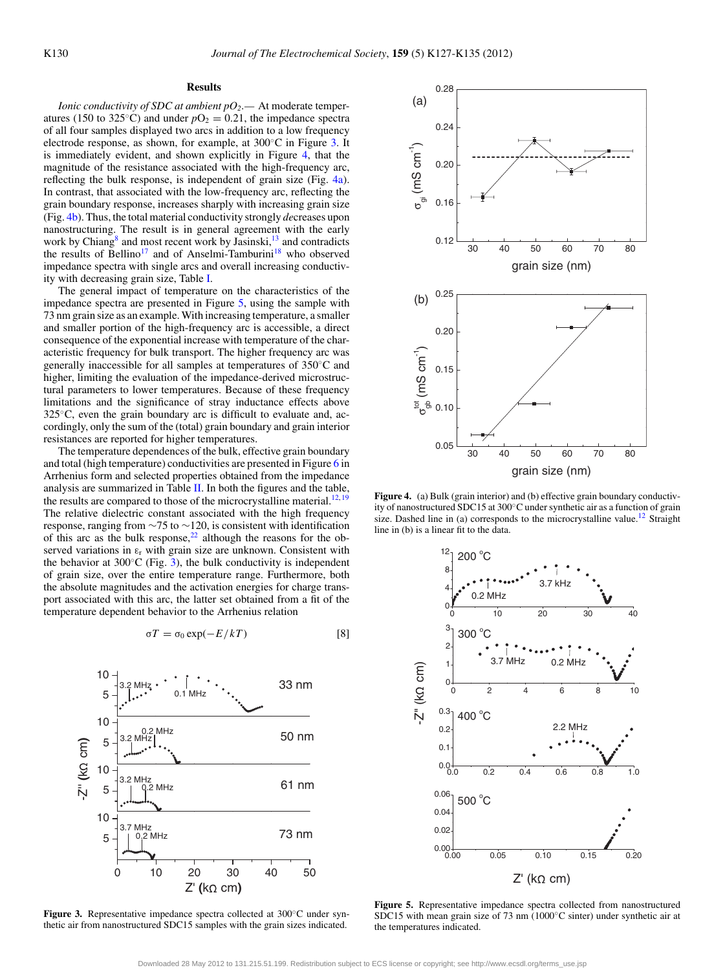## **Results**

*Ionic conductivity of SDC at ambient pO2.—* At moderate temperatures (150 to 325<sup>°</sup>C) and under  $pO_2 = 0.21$ , the impedance spectra of all four samples displayed two arcs in addition to a low frequency electrode response, as shown, for example, at 300◦C in Figure [3.](#page-3-0) It is immediately evident, and shown explicitly in Figure [4,](#page-3-1) that the magnitude of the resistance associated with the high-frequency arc, reflecting the bulk response, is independent of grain size (Fig. [4a\)](#page-3-1). In contrast, that associated with the low-frequency arc, reflecting the grain boundary response, increases sharply with increasing grain size (Fig. [4b\)](#page-3-1). Thus, the total material conductivity strongly *de*creases upon nanostructuring. The result is in general agreement with the early work by Chiang $\delta$  and most recent work by Jasinski,  $\frac{13}{13}$  and contradicts the results of Bellino<sup>17</sup> and of Anselmi-Tamburini<sup>18</sup> who observed impedance spectra with single arcs and overall increasing conductivity with decreasing grain size, Table [I.](#page-1-0)

The general impact of temperature on the characteristics of the impedance spectra are presented in Figure [5,](#page-3-2) using the sample with 73 nm grain size as an example. With increasing temperature, a smaller and smaller portion of the high-frequency arc is accessible, a direct consequence of the exponential increase with temperature of the characteristic frequency for bulk transport. The higher frequency arc was generally inaccessible for all samples at temperatures of 350◦C and higher, limiting the evaluation of the impedance-derived microstructural parameters to lower temperatures. Because of these frequency limitations and the significance of stray inductance effects above 325<sup>°</sup>C, even the grain boundary arc is difficult to evaluate and, accordingly, only the sum of the (total) grain boundary and grain interior resistances are reported for higher temperatures.

The temperature dependences of the bulk, effective grain boundary and total (high temperature) conductivities are presented in Figure [6](#page-4-0) in Arrhenius form and selected properties obtained from the impedance analysis are summarized in Table [II.](#page-4-1) In both the figures and the table, the results are compared to those of the microcrystalline material.<sup>12, [19](#page-8-16)</sup> The relative dielectric constant associated with the high frequency response, ranging from  $\sim$ 75 to  $\sim$ 120, is consistent with identification of this arc as the bulk response, $2<sup>2</sup>$  although the reasons for the observed variations in  $\varepsilon$ <sub>r</sub> with grain size are unknown. Consistent with the behavior at  $300^{\circ}$ C (Fig. [3\)](#page-3-0), the bulk conductivity is independent of grain size, over the entire temperature range. Furthermore, both the absolute magnitudes and the activation energies for charge transport associated with this arc, the latter set obtained from a fit of the temperature dependent behavior to the Arrhenius relation

$$
\sigma T = \sigma_0 \exp(-E/kT) \tag{8}
$$

<span id="page-3-0"></span>

Figure 3. Representative impedance spectra collected at 300°C under synthetic air from nanostructured SDC15 samples with the grain sizes indicated.

<span id="page-3-1"></span>

**Figure 4.** (a) Bulk (grain interior) and (b) effective grain boundary conductivity of nanostructured SDC15 at 300◦C under synthetic air as a function of grain size. Dashed line in (a) corresponds to the microcrystalline value.<sup>12</sup> Straight line in (b) is a linear fit to the data.

<span id="page-3-2"></span>

**Figure 5.** Representative impedance spectra collected from nanostructured SDC15 with mean grain size of 73 nm (1000◦C sinter) under synthetic air at the temperatures indicated.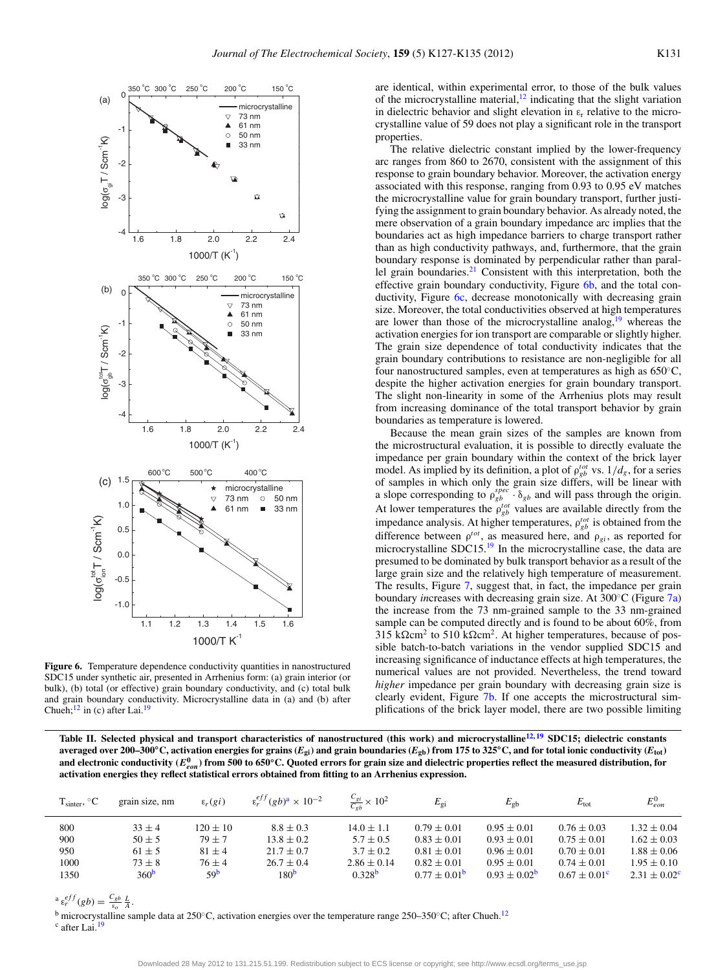<span id="page-4-0"></span>

Figure 6. Temperature dependence conductivity quantities in nanostructured SDC15 under synthetic air, presented in Arrhenius form: (a) grain interior (or bulk), (b) total (or effective) grain boundary conductivity, and (c) total bulk and grain boundary conductivity. Microcrystalline data in (a) and (b) after Chueh; $^{12}$  in (c) after Lai.<sup>19</sup>

are identical, within experimental error, to those of the bulk values of the microcrystalline material, $12$  indicating that the slight variation in dielectric behavior and slight elevation in  $\varepsilon_r$  relative to the microcrystalline value of 59 does not play a significant role in the transport properties.

The relative dielectric constant implied by the lower-frequency arc ranges from 860 to 2670, consistent with the assignment of this response to grain boundary behavior. Moreover, the activation energy associated with this response, ranging from 0.93 to 0.95 eV matches the microcrystalline value for grain boundary transport, further justifying the assignment to grain boundary behavior. As already noted, the mere observation of a grain boundary impedance arc implies that the boundaries act as high impedance barriers to charge transport rather than as high conductivity pathways, and, furthermore, that the grain boundary response is dominated by perpendicular rather than parallel grain boundaries[.21](#page-8-18) Consistent with this interpretation, both the effective grain boundary conductivity, Figure [6b,](#page-4-0) and the total con-ductivity, Figure [6c,](#page-4-0) decrease monotonically with decreasing grain size. Moreover, the total conductivities observed at high temperatures are lower than those of the microcrystalline analog, $19$  whereas the activation energies for ion transport are comparable or slightly higher. The grain size dependence of total conductivity indicates that the grain boundary contributions to resistance are non-negligible for all four nanostructured samples, even at temperatures as high as 650◦C, despite the higher activation energies for grain boundary transport. The slight non-linearity in some of the Arrhenius plots may result from increasing dominance of the total transport behavior by grain boundaries as temperature is lowered.

Because the mean grain sizes of the samples are known from the microstructural evaluation, it is possible to directly evaluate the impedance per grain boundary within the context of the brick layer model. As implied by its definition, a plot of  $\rho_{gb}^{tot}$  vs.  $1/d_g$ , for a series of samples in which only the grain size differs, will be linear with a slope corresponding to  $\rho_{gb}^{spec} \cdot \delta_{gb}$  and will pass through the origin. At lower temperatures the  $\rho_{gb}^{tot}$  values are available directly from the impedance analysis. At higher temperatures,  $\rho_{gb}^{tot}$  is obtained from the difference between  $\rho^{tot}$ , as measured here, and  $\rho_{gi}$ , as reported for microcrystalline SDC15[.19](#page-8-16) In the microcrystalline case, the data are presumed to be dominated by bulk transport behavior as a result of the large grain size and the relatively high temperature of measurement. The results, Figure [7,](#page-5-0) suggest that, in fact, the impedance per grain boundary *in*creases with decreasing grain size. At 300◦C (Figure [7a\)](#page-5-0) the increase from the 73 nm-grained sample to the 33 nm-grained sample can be computed directly and is found to be about 60%, from 315 k $\Omega$ cm<sup>2</sup> to 510 k $\Omega$ cm<sup>2</sup>. At higher temperatures, because of possible batch-to-batch variations in the vendor supplied SDC15 and increasing significance of inductance effects at high temperatures, the numerical values are not provided. Nevertheless, the trend toward *higher* impedance per grain boundary with decreasing grain size is clearly evident, Figure [7b.](#page-5-0) If one accepts the microstructural simplifications of the brick layer model, there are two possible limiting

<span id="page-4-1"></span>**Table II. Selected physical and transport characteristics of nanostructured (this work) and microcrystalline[12,](#page-8-9) [19](#page-8-16) SDC15; dielectric constants averaged over 200–300°C, activation energies for grains (** $E_{\text{gi}}$ **) and grain boundaries (** $E_{\text{gb}}$ **) from 175 to 325°C, and for total ionic conductivity (** $E_{\text{tot}}$ **)** and electronic conductivity ( $E_{eon}^0$ ) from 500 to 650°C. Quoted errors for grain size and dielectric properties reflect the measured distribution, for **activation energies they reflect statistical errors obtained from fitting to an Arrhenius expression.**

| $T_{\text{sinter}}$ , $^{\circ}C$ | grain size, nm   | $\varepsilon_r(g_i)$ | $\varepsilon_r^{eff}(gb)^2 \times 10^{-2}$ | $\frac{C_{gi}}{C_{gh}} \times 10^2$ | $E_{\rm gi}$            | $E_{\rm gb}$            | $E_{\rm tot}$           | $E_{eon}^0$             |
|-----------------------------------|------------------|----------------------|--------------------------------------------|-------------------------------------|-------------------------|-------------------------|-------------------------|-------------------------|
| 800                               | $33 + 4$         | $120 \pm 10$         | $8.8 \pm 0.3$                              | $14.0 \pm 1.1$                      | $0.79 \pm 0.01$         | $0.95 \pm 0.01$         | $0.76 \pm 0.03$         | $1.32 \pm 0.04$         |
| 900                               | $50 \pm 5$       | $79 + 7$             | $13.8 \pm 0.2$                             | $5.7 \pm 0.5$                       | $0.83 \pm 0.01$         | $0.93 \pm 0.01$         | $0.75 \pm 0.01$         | $1.62 \pm 0.03$         |
| 950                               | $61 \pm 5$       | $81 + 4$             | $21.7 \pm 0.7$                             | $3.7 + 0.2$                         | $0.81 \pm 0.01$         | $0.96 \pm 0.01$         | $0.70 \pm 0.01$         | $1.88 \pm 0.06$         |
| 1000                              | $73 \pm 8$       | $76 + 4$             | $26.7 \pm 0.4$                             | $2.86 \pm 0.14$                     | $0.82 \pm 0.01$         | $0.95 \pm 0.01$         | $0.74 \pm 0.01$         | $1.95 \pm 0.10$         |
| 1350                              | 360 <sup>b</sup> | 59 <sup>b</sup>      | 180 <sup>b</sup>                           | 0.328 <sup>b</sup>                  | $0.77 \pm 0.01^{\circ}$ | $0.93 \pm 0.02^{\rm b}$ | $0.67 \pm 0.01^{\circ}$ | $2.31 \pm 0.02^{\circ}$ |

 $a \varepsilon_r^{eff}(gb) = \frac{C_{gb}}{\varepsilon_o} \frac{L}{A}.$ 

<span id="page-4-2"></span><sup>b</sup> microcrystalline sample data at 250◦C, activation energies over the temperature range 250–350◦C; after Chueh[.12](#page-8-9)

<span id="page-4-4"></span><span id="page-4-3"></span>c after Lai.<sup>19</sup>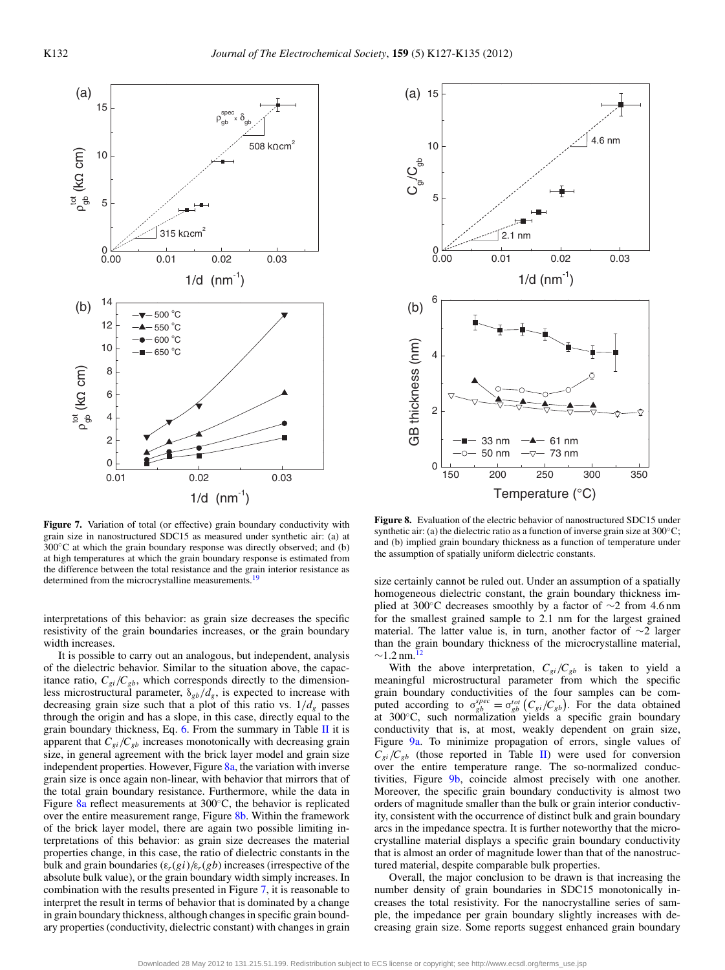<span id="page-5-0"></span>

**Figure 7.** Variation of total (or effective) grain boundary conductivity with grain size in nanostructured SDC15 as measured under synthetic air: (a) at  $300\degree$ C at which the grain boundary response was directly observed; and (b) at high temperatures at which the grain boundary response is estimated from the difference between the total resistance and the grain interior resistance as determined from the microcrystalline measurements.<sup>19</sup>

interpretations of this behavior: as grain size decreases the specific resistivity of the grain boundaries increases, or the grain boundary width increases.

It is possible to carry out an analogous, but independent, analysis of the dielectric behavior. Similar to the situation above, the capacitance ratio,  $C_{gi}/C_{gb}$ , which corresponds directly to the dimensionless microstructural parameter, δ*gb*/*dg*, is expected to increase with decreasing grain size such that a plot of this ratio vs.  $1/d_g$  passes through the origin and has a slope, in this case, directly equal to the grain boundary thickness, Eq.  $6$ . From the summary in Table [II](#page-4-1) it is apparent that  $C_{gi}/C_{gb}$  increases monotonically with decreasing grain size, in general agreement with the brick layer model and grain size independent properties. However, Figure  $8a$ , the variation with inverse grain size is once again non-linear, with behavior that mirrors that of the total grain boundary resistance. Furthermore, while the data in Figure  $8a$  reflect measurements at 300 $^{\circ}$ C, the behavior is replicated over the entire measurement range, Figure [8b.](#page-5-1) Within the framework of the brick layer model, there are again two possible limiting interpretations of this behavior: as grain size decreases the material properties change, in this case, the ratio of dielectric constants in the bulk and grain boundaries  $(\varepsilon_r(g_i)/\varepsilon_r(g_b))$  increases (irrespective of the absolute bulk value), or the grain boundary width simply increases. In combination with the results presented in Figure [7,](#page-5-0) it is reasonable to interpret the result in terms of behavior that is dominated by a change in grain boundary thickness, although changes in specific grain boundary properties (conductivity, dielectric constant) with changes in grain

<span id="page-5-1"></span>

**Figure 8.** Evaluation of the electric behavior of nanostructured SDC15 under synthetic air: (a) the dielectric ratio as a function of inverse grain size at  $300^{\circ}$ C; and (b) implied grain boundary thickness as a function of temperature under the assumption of spatially uniform dielectric constants.

size certainly cannot be ruled out. Under an assumption of a spatially homogeneous dielectric constant, the grain boundary thickness implied at 300°C decreases smoothly by a factor of  $\sim$ 2 from 4.6 nm for the smallest grained sample to 2.1 nm for the largest grained material. The latter value is, in turn, another factor of ∼2 larger than the grain boundary thickness of the microcrystalline material,  $\sim$ 1.2 nm.<sup>1</sup>

With the above interpretation,  $C_{gi}/C_{gb}$  is taken to yield a meaningful microstructural parameter from which the specific grain boundary conductivities of the four samples can be com-<br>puted according to  $\sigma_{gb}^{spec} = \sigma_{gb}^{tot} (C_{gi}/C_{gb})$ . For the data obtained at 300◦C, such normalization yields a specific grain boundary conductivity that is, at most, weakly dependent on grain size, Figure [9a.](#page-6-0) To minimize propagation of errors, single values of  $C_{gi}/C_{gb}$  (those reported in Table [II\)](#page-4-1) were used for conversion over the entire temperature range. The so-normalized conductivities, Figure [9b,](#page-6-0) coincide almost precisely with one another. Moreover, the specific grain boundary conductivity is almost two orders of magnitude smaller than the bulk or grain interior conductivity, consistent with the occurrence of distinct bulk and grain boundary arcs in the impedance spectra. It is further noteworthy that the microcrystalline material displays a specific grain boundary conductivity that is almost an order of magnitude lower than that of the nanostructured material, despite comparable bulk properties.

Overall, the major conclusion to be drawn is that increasing the number density of grain boundaries in SDC15 monotonically increases the total resistivity. For the nanocrystalline series of sample, the impedance per grain boundary slightly increases with decreasing grain size. Some reports suggest enhanced grain boundary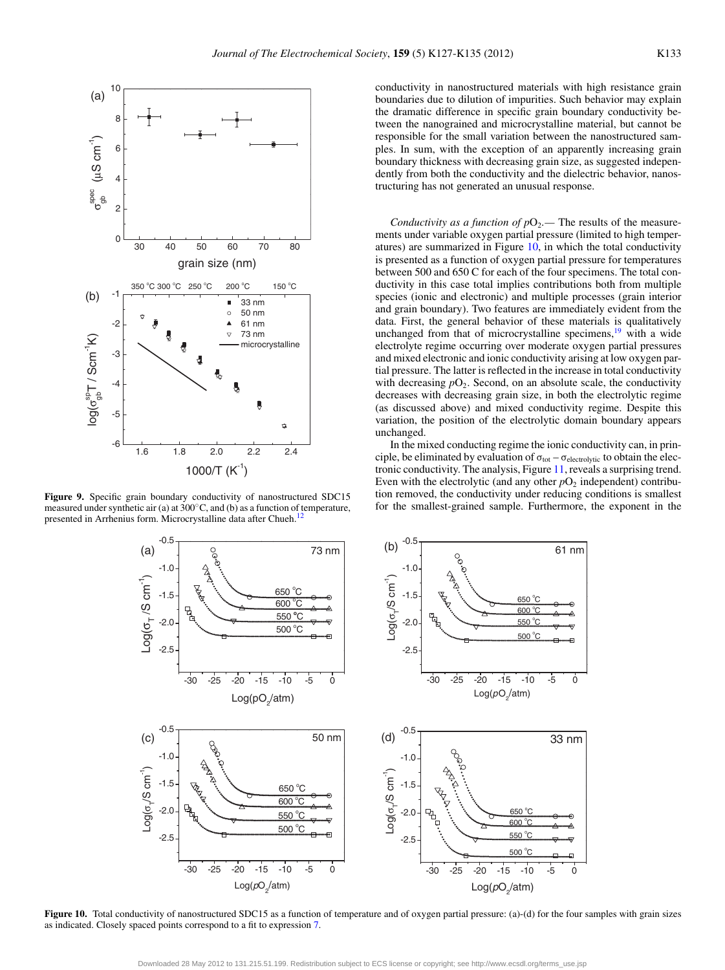<span id="page-6-0"></span>

<span id="page-6-1"></span>**Figure 9.** Specific grain boundary conductivity of nanostructured SDC15 measured under synthetic air (a) at 300◦C, and (b) as a function of temperature, presented in Arrhenius form. Microcrystalline data after Chueh.<sup>12</sup>

conductivity in nanostructured materials with high resistance grain boundaries due to dilution of impurities. Such behavior may explain the dramatic difference in specific grain boundary conductivity between the nanograined and microcrystalline material, but cannot be responsible for the small variation between the nanostructured samples. In sum, with the exception of an apparently increasing grain boundary thickness with decreasing grain size, as suggested independently from both the conductivity and the dielectric behavior, nanostructuring has not generated an unusual response.

*Conductivity as a function of*  $pO_2$ *. The results of the measure*ments under variable oxygen partial pressure (limited to high temperatures) are summarized in Figure [10,](#page-6-1) in which the total conductivity is presented as a function of oxygen partial pressure for temperatures between 500 and 650 C for each of the four specimens. The total conductivity in this case total implies contributions both from multiple species (ionic and electronic) and multiple processes (grain interior and grain boundary). Two features are immediately evident from the data. First, the general behavior of these materials is qualitatively unchanged from that of microcrystalline specimens, $\frac{19}{19}$  $\frac{19}{19}$  $\frac{19}{19}$  with a wide electrolyte regime occurring over moderate oxygen partial pressures and mixed electronic and ionic conductivity arising at low oxygen partial pressure. The latter is reflected in the increase in total conductivity with decreasing  $pO_2$ . Second, on an absolute scale, the conductivity decreases with decreasing grain size, in both the electrolytic regime (as discussed above) and mixed conductivity regime. Despite this variation, the position of the electrolytic domain boundary appears unchanged.

In the mixed conducting regime the ionic conductivity can, in principle, be eliminated by evaluation of  $\sigma_{\text{tot}} - \sigma_{\text{electrolytic}}$  to obtain the electronic conductivity. The analysis, Figure [11,](#page-7-0) reveals a surprising trend. Even with the electrolytic (and any other  $pO_2$  independent) contribution removed, the conductivity under reducing conditions is smallest for the smallest-grained sample. Furthermore, the exponent in the



Figure 10. Total conductivity of nanostructured SDC15 as a function of temperature and of oxygen partial pressure: (a)-(d) for the four samples with grain sizes as indicated. Closely spaced points correspond to a fit to expression [7.](#page-2-4)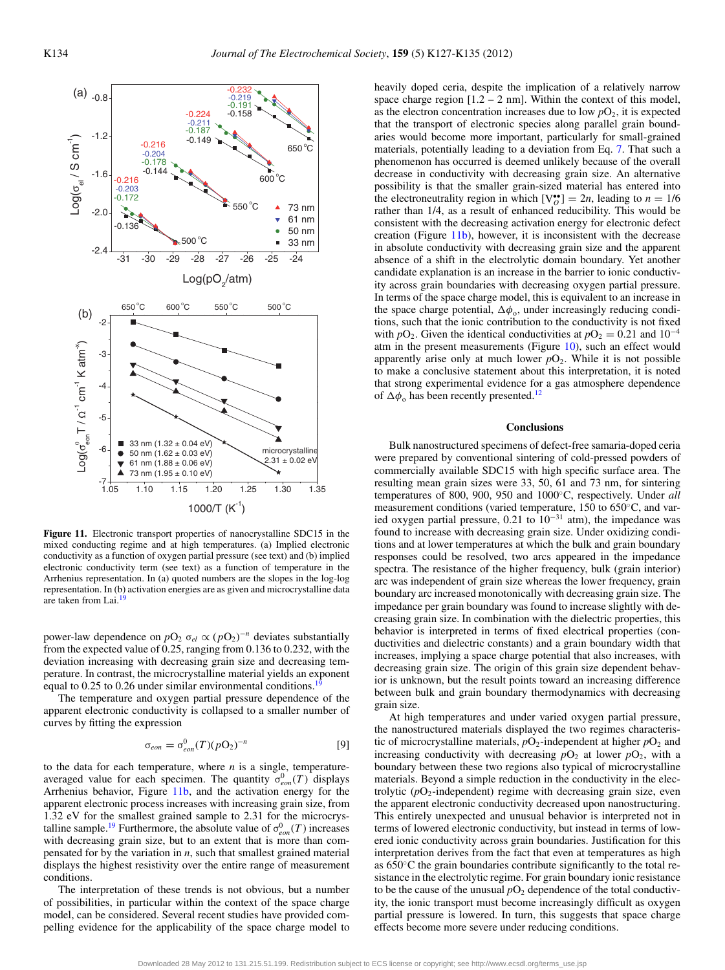<span id="page-7-0"></span>

**Figure 11.** Electronic transport properties of nanocrystalline SDC15 in the mixed conducting regime and at high temperatures. (a) Implied electronic conductivity as a function of oxygen partial pressure (see text) and (b) implied electronic conductivity term (see text) as a function of temperature in the Arrhenius representation. In (a) quoted numbers are the slopes in the log-log representation. In (b) activation energies are as given and microcrystalline data are taken from Lai.<sup>1</sup>

power-law dependence on  $pO_2$   $\sigma_{el} \propto (pO_2)^{-n}$  deviates substantially from the expected value of 0.25, ranging from 0.136 to 0.232, with the deviation increasing with decreasing grain size and decreasing temperature. In contrast, the microcrystalline material yields an exponent equal to 0.25 to 0.26 under similar environmental conditions.<sup>1</sup>

The temperature and oxygen partial pressure dependence of the apparent electronic conductivity is collapsed to a smaller number of curves by fitting the expression

$$
\sigma_{eon} = \sigma_{eon}^0(T)(pO_2)^{-n} \tag{9}
$$

to the data for each temperature, where *n* is a single, temperatureaveraged value for each specimen. The quantity  $\sigma_{eon}^0(T)$  displays Arrhenius behavior, Figure [11b,](#page-7-0) and the activation energy for the apparent electronic process increases with increasing grain size, from 1.32 eV for the smallest grained sample to 2.31 for the microcrystalline sample.<sup>19</sup> Furthermore, the absolute value of  $\sigma_{eon}^0(T)$  increases with decreasing grain size, but to an extent that is more than compensated for by the variation in *n*, such that smallest grained material displays the highest resistivity over the entire range of measurement conditions.

The interpretation of these trends is not obvious, but a number of possibilities, in particular within the context of the space charge model, can be considered. Several recent studies have provided compelling evidence for the applicability of the space charge model to heavily doped ceria, despite the implication of a relatively narrow space charge region  $[1.2 - 2$  nm]. Within the context of this model, as the electron concentration increases due to low  $pO_2$ , it is expected that the transport of electronic species along parallel grain boundaries would become more important, particularly for small-grained materials, potentially leading to a deviation from Eq. [7.](#page-2-4) That such a phenomenon has occurred is deemed unlikely because of the overall decrease in conductivity with decreasing grain size. An alternative possibility is that the smaller grain-sized material has entered into the electroneutrality region in which  $[V_O^{\bullet}] = 2n$ , leading to  $n = 1/6$ rather than 1/4, as a result of enhanced reducibility. This would be consistent with the decreasing activation energy for electronic defect creation (Figure [11b\)](#page-7-0), however, it is inconsistent with the decrease in absolute conductivity with decreasing grain size and the apparent absence of a shift in the electrolytic domain boundary. Yet another candidate explanation is an increase in the barrier to ionic conductivity across grain boundaries with decreasing oxygen partial pressure. In terms of the space charge model, this is equivalent to an increase in the space charge potential,  $\Delta\phi$ <sub>o</sub>, under increasingly reducing conditions, such that the ionic contribution to the conductivity is not fixed with  $pO_2$ . Given the identical conductivities at  $pO_2 = 0.21$  and  $10^{-4}$ atm in the present measurements (Figure [10\)](#page-6-1), such an effect would apparently arise only at much lower  $pO<sub>2</sub>$ . While it is not possible to make a conclusive statement about this interpretation, it is noted that strong experimental evidence for a gas atmosphere dependence of  $\Delta\phi$ <sub>o</sub> has been recently presented.<sup>12</sup>

### **Conclusions**

Bulk nanostructured specimens of defect-free samaria-doped ceria were prepared by conventional sintering of cold-pressed powders of commercially available SDC15 with high specific surface area. The resulting mean grain sizes were 33, 50, 61 and 73 nm, for sintering temperatures of 800, 900, 950 and 1000◦C, respectively. Under *all* measurement conditions (varied temperature, 150 to 650◦C, and varied oxygen partial pressure, 0.21 to  $10^{-31}$  atm), the impedance was found to increase with decreasing grain size. Under oxidizing conditions and at lower temperatures at which the bulk and grain boundary responses could be resolved, two arcs appeared in the impedance spectra. The resistance of the higher frequency, bulk (grain interior) arc was independent of grain size whereas the lower frequency, grain boundary arc increased monotonically with decreasing grain size. The impedance per grain boundary was found to increase slightly with decreasing grain size. In combination with the dielectric properties, this behavior is interpreted in terms of fixed electrical properties (conductivities and dielectric constants) and a grain boundary width that increases, implying a space charge potential that also increases, with decreasing grain size. The origin of this grain size dependent behavior is unknown, but the result points toward an increasing difference between bulk and grain boundary thermodynamics with decreasing grain size.

At high temperatures and under varied oxygen partial pressure, the nanostructured materials displayed the two regimes characteristic of microcrystalline materials,  $pO_2$ -independent at higher  $pO_2$  and increasing conductivity with decreasing  $pO_2$  at lower  $pO_2$ , with a boundary between these two regions also typical of microcrystalline materials. Beyond a simple reduction in the conductivity in the electrolytic  $(pO_2$ -independent) regime with decreasing grain size, even the apparent electronic conductivity decreased upon nanostructuring. This entirely unexpected and unusual behavior is interpreted not in terms of lowered electronic conductivity, but instead in terms of lowered ionic conductivity across grain boundaries. Justification for this interpretation derives from the fact that even at temperatures as high as 650◦C the grain boundaries contribute significantly to the total resistance in the electrolytic regime. For grain boundary ionic resistance to be the cause of the unusual  $pO_2$  dependence of the total conductivity, the ionic transport must become increasingly difficult as oxygen partial pressure is lowered. In turn, this suggests that space charge effects become more severe under reducing conditions.